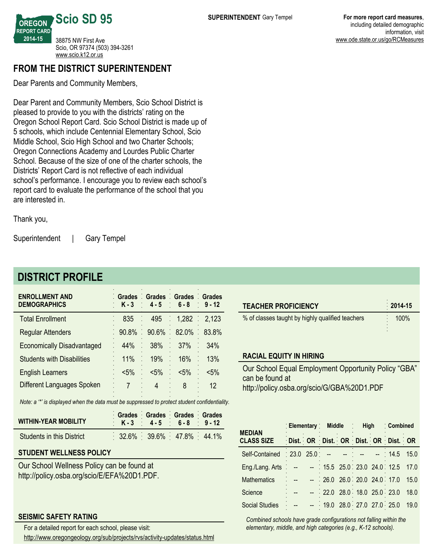**OREGON REPORT CARD 201415 Scio SD 95** 38875 NW First Ave Scio, OR 97374 (503) 394-3261 <www.scio.k12.or.us>

## **FROM THE DISTRICT SUPERINTENDENT**

Dear Parents and Community Members,

Dear Parent and Community Members, Scio School District is pleased to provide to you with the districts' rating on the Oregon School Report Card. Scio School District is made up of 5 schools, which include Centennial Elementary School, Scio Middle School, Scio High School and two Charter Schools; Oregon Connections Academy and Lourdes Public Charter School. Because of the size of one of the charter schools, the Districts' Report Card is not reflective of each individual school's performance. I encourage you to review each school's report card to evaluate the performance of the school that you are interested in.

Thank you,

Superintendent | Gary Tempel

# **DISTRICT PROFILE**

| <b>ENROLLMENT AND</b><br><b>DEMOGRAPHICS</b> | Grades Grades Grades Grades | $K-3$ 4-5 6-8 9-12      |                 |         |
|----------------------------------------------|-----------------------------|-------------------------|-----------------|---------|
| <b>Total Enrollment</b>                      | 835                         |                         | 495 1,282 2,123 |         |
| <b>Regular Attenders</b>                     |                             | 90.8% 90.6% 82.0% 83.8% |                 |         |
| <b>Economically Disadvantaged</b>            | 44%                         | 38%                     | ÷,<br>37%       | 34%     |
| <b>Students with Disabilities</b>            | 11%                         | 19%                     | 16%             | 13%     |
| <b>English Learners</b>                      | $< 5\%$                     | $< 5\%$                 | $< 5\%$         | $< 5\%$ |
| Different Languages Spoken                   |                             | 4                       | 8               | 12      |
|                                              |                             |                         |                 |         |

*Note: a '\*' is displayed when the data must be suppressed to protect student confidentiality.*

| <b>WITHIN-YEAR MOBILITY</b>      |  | Grades Grades Grades Grades<br>K-3 4-5 6-8 9-12 |  |  |
|----------------------------------|--|-------------------------------------------------|--|--|
| <b>Students in this District</b> |  | $32.6\%$ 39.6% 47.8% 44.1%                      |  |  |

## **STUDENT WELLNESS POLICY**

Our School Wellness Policy can be found at http://policy.osba.org/scio/E/EFA%20D1.PDF.

## **SEISMIC SAFETY RATING**

For a detailed report for each school, please visit:

http://www.oregongeology.org/sub/projects/rvs/activity-updates/status.html

| <b>TEACHER PROFICIENCY</b>                                              | $2014-15$ |
|-------------------------------------------------------------------------|-----------|
| % of classes taught by highly qualified teachers                        | 100%      |
| <b>RACIAL EQUITY IN HIRING</b>                                          |           |
| Our School Equal Employment Opportunity Policy "GBA"<br>can be found at |           |

http://policy.osba.org/scio/G/GBA%20D1.PDF

| <b>MEDIAN</b>                                        | Elementary Middle High              |                              |  | Combined |      |
|------------------------------------------------------|-------------------------------------|------------------------------|--|----------|------|
| <b>CLASS SIZE</b>                                    | Dist. OR Dist. OR Dist. OR Dist. OR |                              |  |          |      |
| Self-Contained 23.0 25.0 - - - - - 14.5              |                                     |                              |  |          | 15.0 |
| Eng./Lang. Arts : -- - 15.5 25.0 23.0 24.0 12.5 17.0 |                                     |                              |  |          |      |
| Mathematics                                          |                                     | $-26.0$ 26.0 20.0 24.0 17.0  |  |          | 15.0 |
| Science                                              |                                     | $-$ 22.0 28.0 18.0 25.0 23.0 |  |          | 18.0 |
| <b>Social Studies</b>                                |                                     | 19.0 28.0 27.0 27.0 25.0     |  |          | 19.0 |

*Combined schools have grade configurations not falling within the elementary, middle, and high categories (e.g., K12 schools).*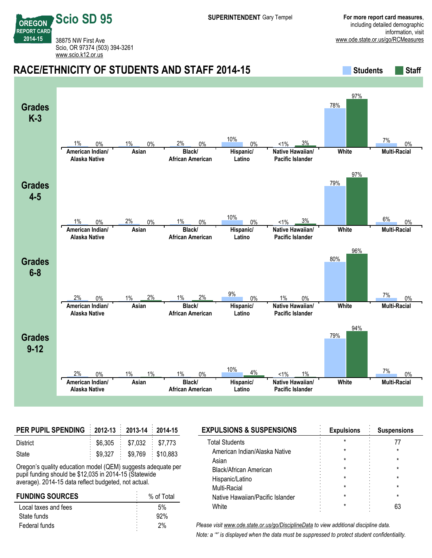**REPORT CARD** 38875 NW First Ave Scio, OR 97374 (503) 394-3261 <www.scio.k12.or.us>

**Scio SD 95**

**OREGON**

**201415**

#### **RACE/ETHNICITY OF STUDENTS AND STAFF 2014-15 Students** Students Staff **Grades K3 American Indian/ Alaska Native Asian Black/ African American Hispanic/ Latino Native Hawaiian/ Pacific Islander White Multi-Racial** 1% 0% 1% 0% 2% 0% 10%  $0\%$  <1%  $3\%$ 78% 97%  $7\%$  0% **Grades 45 American Indian/ Alaska Native Asian Black/ African American Hispanic/ Latino Native Hawaiian/ Pacific Islander White Multi-Racial** 1% 0% 2% 0% 1% 0% 10% 0%  $<$  1%  $<$  3% 79% 97%  $6\%$  0% **Grades** 6-8 **American Indian/ Alaska Native Asian Black/ African American Hispanic/ Latino Native Hawaiian/ Pacific Islander White Multi-Racial** 2% 0% 1% 2% 1% 2% 9% 0% 1% 0% 80% 96% 7% ሰ% **Grades 912 American Indian/ Alaska Native Asian Black/ African American Hispanic/ Latino Native Hawaiian/ Pacific Islander White Multi-Racial** 2% 0% 1% 1% 1% 0% <u>10% 4% <1% 1%</u> 79% 94% 7% ሰ%

| PER PUPIL SPENDING : 2012-13 2013-14 2014-15 |                                        |  |
|----------------------------------------------|----------------------------------------|--|
| District                                     | $\frac{1}{2}$ \$6,305 \$7,032 \$7,773  |  |
| State                                        | $\frac{1}{2}$ \$9,327 \$9,769 \$10,883 |  |

Oregon's quality education model (QEM) suggests adequate per pupil funding should be \$12,035 in 2014-15 (Statewide average). 2014-15 data reflect budgeted, not actual.

| <b>FUNDING SOURCES</b> | % of Total |  |
|------------------------|------------|--|
| Local taxes and fees   | 5%         |  |
| State funds            | 92%        |  |
| Federal funds          | 2%         |  |

| <b>EXPULSIONS &amp; SUSPENSIONS</b> | <b>Expulsions</b> | <b>Suspensions</b> |
|-------------------------------------|-------------------|--------------------|
| <b>Total Students</b>               |                   |                    |
| American Indian/Alaska Native       |                   |                    |
| Asian                               | $^\star$          |                    |
| <b>Black/African American</b>       | $^\star$          |                    |
| Hispanic/Latino                     | $^\star$          |                    |
| Multi-Racial                        | $^\star$          |                    |
| Native Hawaiian/Pacific Islander    | $^\star$          |                    |
| White                               |                   |                    |
|                                     |                   |                    |

*Please visit www.ode.state.or.us/go/DisciplineData to view additional discipline data. Note: a '\*' is displayed when the data must be suppressed to protect student confidentiality.*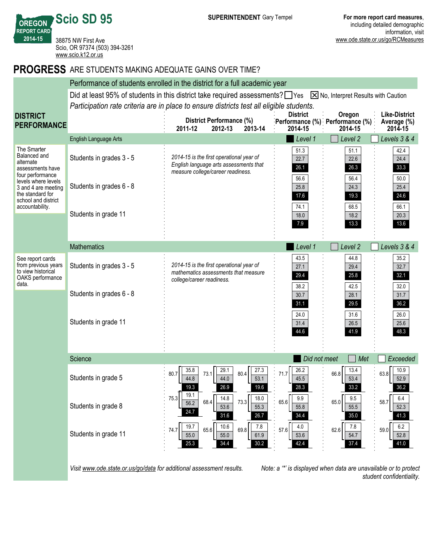**OREGON REPORT CARD Scio SD 95** 38875 NW First Ave Scio, OR 97374 (503) 394-3261 <www.scio.k12.or.us>

**201415**

## **PROGRESS** ARE STUDENTS MAKING ADEQUATE GAINS OVER TIME?

|                                                                                                          |                                                                                                                                            | Performance of students enrolled in the district for a full academic year                                               |                              |                                           |                                     |  |  |
|----------------------------------------------------------------------------------------------------------|--------------------------------------------------------------------------------------------------------------------------------------------|-------------------------------------------------------------------------------------------------------------------------|------------------------------|-------------------------------------------|-------------------------------------|--|--|
|                                                                                                          | Did at least 95% of students in this district take required assessments? $\Box$ Yes<br>$\boxed{\times}$ No, Interpret Results with Caution |                                                                                                                         |                              |                                           |                                     |  |  |
|                                                                                                          |                                                                                                                                            | Participation rate criteria are in place to ensure districts test all eligible students.                                |                              |                                           |                                     |  |  |
| <b>DISTRICT</b><br><b>PERFORMANCE</b>                                                                    |                                                                                                                                            | District Performance (%)                                                                                                | <b>District</b>              | Oregon<br>Performance (%) Performance (%) | <b>Like-District</b><br>Average (%) |  |  |
|                                                                                                          |                                                                                                                                            | 2012-13<br>2013-14<br>2011-12                                                                                           | 2014-15                      | 2014-15                                   | 2014-15                             |  |  |
|                                                                                                          | <b>English Language Arts</b>                                                                                                               |                                                                                                                         | Level 1                      | Level 2                                   | Levels 3 & 4                        |  |  |
| The Smarter<br>Balanced and<br>alternate<br>assessments have<br>four performance                         | Students in grades 3 - 5                                                                                                                   | 2014-15 is the first operational year of<br>English language arts assessments that<br>measure college/career readiness. | 51.3<br>22.7<br>26.1<br>56.6 | 51.1<br>22.6<br>26.3<br>56.4              | 42.4<br>24.4<br>33.3<br>50.0        |  |  |
| levels where levels<br>3 and 4 are meeting<br>the standard for<br>school and district<br>accountability. | Students in grades 6 - 8                                                                                                                   |                                                                                                                         | 25.8<br>17.6<br>74.1         | 24.3<br>19.3<br>68.5                      | 25.4<br>24.6<br>66.1                |  |  |
|                                                                                                          | Students in grade 11                                                                                                                       |                                                                                                                         | 18.0<br>7.9                  | 18.2<br>13.3                              | 20.3<br>13.6                        |  |  |
|                                                                                                          | <b>Mathematics</b>                                                                                                                         |                                                                                                                         | Level 1                      | Level <sub>2</sub>                        | Levels 3 & 4                        |  |  |
| See report cards<br>from previous years<br>to view historical<br>OAKS performance<br>data.               | Students in grades 3 - 5                                                                                                                   | 2014-15 is the first operational year of<br>mathematics assessments that measure<br>college/career readiness.           | 43.5<br>27.1<br>29.4         | 44.8<br>29.4<br>25.8                      | 35.2<br>32.7<br>32.1                |  |  |
|                                                                                                          | Students in grades 6 - 8                                                                                                                   |                                                                                                                         | 38.2<br>30.7<br>31.1         | 42.5<br>28.1<br>29.5                      | 32.0<br>31.7<br>36.2                |  |  |
|                                                                                                          | Students in grade 11                                                                                                                       |                                                                                                                         | 24.0<br>31.4<br>44.6         | 31.6<br>26.5<br>41.9                      | 26.0<br>25.6<br>48.3                |  |  |
|                                                                                                          | Science                                                                                                                                    |                                                                                                                         | Did not meet                 | Met                                       | Exceeded                            |  |  |
|                                                                                                          | Students in grade 5                                                                                                                        | 29.1<br>27.3<br>35.8<br>73.1<br>80.4<br>80.7<br>53.1<br>44.8<br>44.0<br>269<br>10 <sub>6</sub>                          | 26.2<br>71.7<br>45.5<br>28.3 | 13.4<br>66.8<br>53.4<br>33.2              | 10.9<br>63.8<br>52.9<br>36.2        |  |  |
|                                                                                                          | Students in grade 8                                                                                                                        | 19.1<br>75.3<br>14.8<br>18.0<br>68.4<br>73.3<br>56.2<br>53.6<br>55.3<br>24.7<br>31.6<br>26.7                            | 9.9<br>65.6<br>55.8<br>34.4  | 9.5<br>65.0<br>55.5<br>35.0               | 6.4<br>58.7<br>52.3<br>41.3         |  |  |
|                                                                                                          | Students in grade 11                                                                                                                       | 19.7<br>10.6<br>7.8<br>65.6<br>69.8<br>74.7<br>55.0<br>55.0<br>61.9<br>34.4<br>25.3<br>30.2                             | 4.0<br>57.6<br>53.6<br>42.4  | 7.8<br>62.6<br>54.7<br>37.4               | $6.2\,$<br>59.0<br>52.8<br>41.0     |  |  |

*Visit www.ode.state.or.us/go/data for additional assessment results. Note: a '\*' is displayed when data are unavailable or to protect*

*student confidentiality.*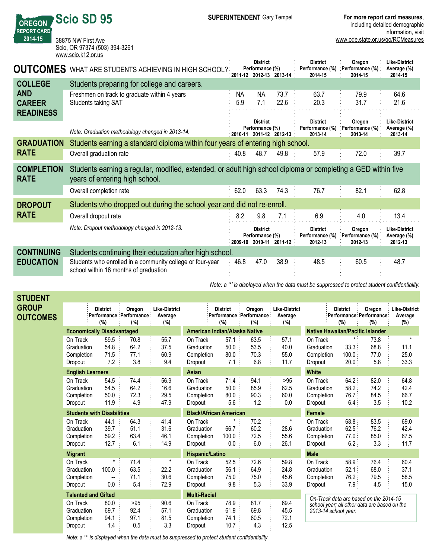**Like-District Average (%) 201415**

**Like-District Average (%)**

| 2014-15                                         | 38875 NW First Ave<br>Scio, OR 97374 (503) 394-3261<br>www.scio.k12.or.us                                                                      |                                              |                                    |                         |                                               | www.ode.state.or.us/go/RCMe            |                                         |
|-------------------------------------------------|------------------------------------------------------------------------------------------------------------------------------------------------|----------------------------------------------|------------------------------------|-------------------------|-----------------------------------------------|----------------------------------------|-----------------------------------------|
| <b>OUTCOMES</b>                                 | WHAT ARE STUDENTS ACHIEVING IN HIGH SCHOOL?                                                                                                    |                                              | <b>District</b><br>Performance (%) | 2011-12 2012-13 2013-14 | <b>District</b><br>Performance (%)<br>2014-15 | Oregon<br>: Performance (%)<br>2014-15 | <b>Like-Distr</b><br>Average<br>2014-15 |
| <b>COLLEGE</b>                                  | Students preparing for college and careers.                                                                                                    |                                              |                                    |                         |                                               |                                        |                                         |
| <b>AND</b><br><b>CAREER</b><br><b>READINESS</b> | Freshmen on track to graduate within 4 years<br>Students taking SAT                                                                            | NA.<br>5.9                                   | NA.<br>7.1                         | 73.7<br>22.6            | 63.7<br>20.3                                  | 79.9<br>31.7                           | 64.6<br>21.6                            |
|                                                 | Note: Graduation methodology changed in 2013-14.                                                                                               |                                              | <b>District</b><br>Performance (%) | 2010-11 2011-12 2012-13 | <b>District</b><br>Performance (%)<br>2013-14 | Oregon<br>Performance (%)<br>2013-14   | <b>Like-Distr</b><br>Average<br>2013-14 |
| <b>GRADUATION</b>                               | Students earning a standard diploma within four years of entering high school.                                                                 |                                              |                                    |                         |                                               |                                        |                                         |
| <b>RATE</b>                                     | Overall graduation rate                                                                                                                        | 40.8                                         | 48.7                               | 49.8                    | 57.9                                          | 72.0                                   | 39.7                                    |
| <b>COMPLETION</b><br><b>RATE</b>                | Students earning a regular, modified, extended, or adult high school diploma or completing a GED within five<br>years of entering high school. |                                              |                                    |                         |                                               |                                        |                                         |
|                                                 | Overall completion rate                                                                                                                        | $\mathfrak{c}\circ\mathfrak{a}$<br>$\bullet$ | co o                               | 712.                    | 70.7                                          | 001                                    | co o                                    |

**OREGON REPORT CARD** **Scio SD 95**

|                   | Overall completion rate                                                                            | 62.0 | 63.3                               | 74.3                    | 76.7                                          | 82.1                                 | 62.8                                    |
|-------------------|----------------------------------------------------------------------------------------------------|------|------------------------------------|-------------------------|-----------------------------------------------|--------------------------------------|-----------------------------------------|
| <b>DROPOUT</b>    | Students who dropped out during the school year and did not re-enroll.                             |      |                                    |                         |                                               |                                      |                                         |
| <b>RATE</b>       | Overall dropout rate                                                                               | 8.2  | 9.8                                | 7.1                     | 6.9                                           | 4.0                                  | 13.4                                    |
|                   | Note: Dropout methodology changed in 2012-13.                                                      |      | <b>District</b><br>Performance (%) | 2009 10 2010 11 2011 12 | <b>District</b><br>Performance (%)<br>2012-13 | Oregon<br>Performance (%)<br>2012-13 | Like-District<br>Average (%)<br>2012-13 |
| <b>CONTINUING</b> | Students continuing their education after high school.                                             |      |                                    |                         |                                               |                                      |                                         |
| <b>EDUCATION</b>  | Students who enrolled in a community college or four-year<br>school within 16 months of graduation | 46.8 | 47.0                               | 38.9                    | 48.5                                          | 60.5                                 | 48.7                                    |

*Note: a '\*' is displayed when the data must be suppressed to protect student confidentiality.*

| STUDENT                         |                                                 |                                   |                                                |                                        |                                                 |                                 |                                                |                                        |                                                 |                                                                      |                             |                                        |
|---------------------------------|-------------------------------------------------|-----------------------------------|------------------------------------------------|----------------------------------------|-------------------------------------------------|---------------------------------|------------------------------------------------|----------------------------------------|-------------------------------------------------|----------------------------------------------------------------------|-----------------------------|----------------------------------------|
| <b>GROUP</b><br><b>OUTCOMES</b> |                                                 | <b>District</b><br>(%)            | Oregon<br>: Performance : Performance :<br>(%) | <b>Like-District</b><br>Average<br>(%) |                                                 | <b>District</b><br>(%)          | Oregon<br>: Performance : Performance :<br>(%) | <b>Like-District</b><br>Average<br>(%) |                                                 | <b>District</b><br>Performance Performance:<br>(%)                   | Oregon<br>(%)               | <b>Like-District</b><br>Average<br>(%) |
|                                 |                                                 | <b>Economically Disadvantaged</b> |                                                |                                        |                                                 | American Indian/Alaska Native   |                                                |                                        |                                                 | <b>Native Hawaiian/Pacific Islander</b>                              |                             |                                        |
|                                 | On Track<br>Graduation<br>Completion<br>Dropout | 59.5<br>54.8<br>71.5<br>7.2       | 70.8<br>64.2<br>77.1<br>3.8                    | 55.7<br>37.5<br>60.9<br>9.4            | On Track<br>Graduation<br>Completion<br>Dropout | 57.1<br>50.0<br>80.0<br>$7.1$ : | 63.5<br>53.5<br>70.3<br>6.8                    | 57.1<br>40.0<br>55.0<br>11.7           | On Track<br>Graduation<br>Completion<br>Dropout | 33.3:<br>100.0<br>20.0:                                              | 73.8<br>68.8<br>77.0<br>5.8 | 11.1<br>25.0<br>33.3                   |
|                                 | <b>English Learners</b>                         |                                   |                                                |                                        | <b>Asian</b>                                    |                                 |                                                |                                        | <b>White</b>                                    |                                                                      |                             |                                        |
|                                 | On Track<br>Graduation<br>Completion<br>Dropout | 54.5<br>54.5<br>50.0<br>11.9      | 74.4<br>64.2<br>72.3<br>4.9                    | 56.9<br>16.6<br>29.5<br>47.9           | On Track<br>Graduation<br>Completion<br>Dropout | $71.4$ :<br>50.0<br>80.0<br>5.6 | 94.1<br>85.9<br>90.3<br>1.2                    | >95<br>62.5<br>60.0<br>0.0             | On Track<br>Graduation<br>Completion<br>Dropout | 64.2:<br>58.2:<br>76.7:<br>6.4:                                      | 82.0<br>74.2<br>84.5<br>3.5 | 64.8<br>42.4<br>66.7<br>10.2           |
|                                 |                                                 | <b>Students with Disabilities</b> |                                                |                                        |                                                 | <b>Black/African American</b>   |                                                |                                        | <b>Female</b>                                   |                                                                      |                             |                                        |
|                                 | On Track<br>Graduation<br>Completion<br>Dropout | 44.1<br>39.7<br>59.2<br>$12.7$ :  | 64.3<br>51.1<br>63.4<br>6.1                    | 41.4<br>31.6<br>46.1<br>14.9           | On Track<br>Graduation<br>Completion<br>Dropout | 66.7<br>100.0<br>0.0 :          | 70.2<br>60.2<br>72.5<br>6.0                    | $^\star$<br>28.6<br>55.6<br>26.1       | On Track<br>Graduation<br>Completion<br>Dropout | 68.8<br>62.5<br>77.0:<br>6.2:                                        | 83.5<br>76.2<br>85.0<br>3.3 | 69.0<br>42.4<br>67.5<br>11.7           |
|                                 | <b>Migrant</b>                                  |                                   |                                                |                                        | Hispanic/Latino                                 |                                 |                                                |                                        | <b>Male</b>                                     |                                                                      |                             |                                        |
|                                 | On Track<br>Graduation<br>Completion<br>Dropout | $\star$<br>100.0<br>0.0           | 71.4<br>63.5<br>71.1<br>5.4                    | $\star$<br>22.2<br>30.6<br>72.9        | On Track<br>Graduation<br>Completion<br>Dropout | 52.5<br>56.1<br>75.0<br>9.8:    | 72.6<br>64.9<br>75.0<br>5.3                    | 59.8<br>24.8<br>45.6<br>33.9           | On Track<br>Graduation<br>Completion<br>Dropout | 58.9:<br>52.1<br>76.2:<br>7.9.                                       | 76.4<br>68.0<br>79.5<br>4.5 | 60.4<br>37.1<br>58.5<br>15.0           |
|                                 |                                                 | <b>Talented and Gifted</b>        |                                                |                                        | <b>Multi-Racial</b>                             |                                 |                                                |                                        |                                                 | On-Track data are based on the 2014-15                               |                             |                                        |
|                                 | On Track<br>Graduation<br>Completion<br>Dropout | 80.0<br>69.7<br>94.1<br>1.4       | >95<br>92.4<br>97.1<br>0.5                     | 90.6<br>57.1<br>81.5<br>3.3            | On Track<br>Graduation<br>Completion<br>Dropout | 78.9 :<br>61.9<br>74.1<br>10.7  | 81.7<br>69.8<br>80.5<br>4.3                    | 69.4<br>45.5<br>72.1<br>12.5           |                                                 | school year; all other data are based on the<br>2013-14 school year. |                             |                                        |
|                                 |                                                 |                                   |                                                |                                        |                                                 |                                 |                                                |                                        |                                                 |                                                                      |                             |                                        |

*Note: a '\*' is displayed when the data must be suppressed to protect student confidentiality.*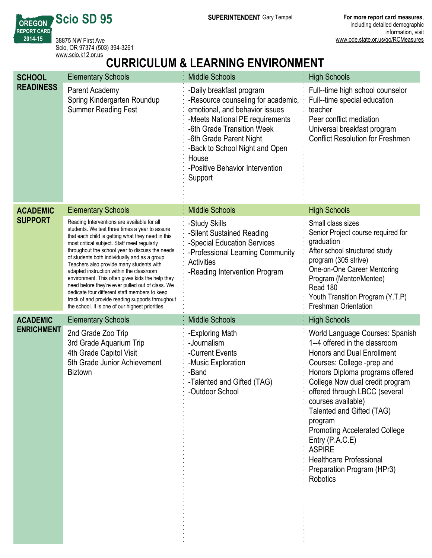**SUPERINTENDENT** Gary Tempel **For more report card measures**,

**REPORT CARD** 38875 NW First Ave Scio, OR 97374 (503) 394-3261 <www.scio.k12.or.us>

**Scio SD 95**

**OREGON**

**201415**

# **CURRICULUM & LEARNING ENVIRONMENT**

| <b>SCHOOL</b>     | <b>Elementary Schools</b>                                                                                                                                                                                                                                                                                                                                                                                                                                                                                                                                                                                                                                      | <b>Middle Schools</b>                                                                                                                                                                                                                                                                 | <b>High Schools</b>                                                                                                                                                                                                                                                                                                                                                                                                                                                       |
|-------------------|----------------------------------------------------------------------------------------------------------------------------------------------------------------------------------------------------------------------------------------------------------------------------------------------------------------------------------------------------------------------------------------------------------------------------------------------------------------------------------------------------------------------------------------------------------------------------------------------------------------------------------------------------------------|---------------------------------------------------------------------------------------------------------------------------------------------------------------------------------------------------------------------------------------------------------------------------------------|---------------------------------------------------------------------------------------------------------------------------------------------------------------------------------------------------------------------------------------------------------------------------------------------------------------------------------------------------------------------------------------------------------------------------------------------------------------------------|
| <b>READINESS</b>  | Parent Academy<br>Spring Kindergarten Roundup<br><b>Summer Reading Fest</b>                                                                                                                                                                                                                                                                                                                                                                                                                                                                                                                                                                                    | -Daily breakfast program<br>-Resource counseling for academic,<br>emotional, and behavior issues<br>-Meets National PE requirements<br>-6th Grade Transition Week<br>-6th Grade Parent Night<br>-Back to School Night and Open<br>House<br>-Positive Behavior Intervention<br>Support | Full--time high school counselor<br>Full--time special education<br>teacher<br>Peer conflict mediation<br>Universal breakfast program<br><b>Conflict Resolution for Freshmen</b>                                                                                                                                                                                                                                                                                          |
| <b>ACADEMIC</b>   | <b>Elementary Schools</b>                                                                                                                                                                                                                                                                                                                                                                                                                                                                                                                                                                                                                                      | <b>Middle Schools</b>                                                                                                                                                                                                                                                                 | <b>High Schools</b>                                                                                                                                                                                                                                                                                                                                                                                                                                                       |
| <b>SUPPORT</b>    | Reading Interventions are available for all<br>students. We test three times a year to assure<br>that each child is getting what they need in this<br>most critical subject. Staff meet regularly<br>throughout the school year to discuss the needs<br>of students both individually and as a group.<br>Teachers also provide many students with<br>adapted instruction within the classroom<br>environment. This often gives kids the help they<br>need before they're ever pulled out of class. We<br>dedicate four different staff members to keep<br>track of and provide reading supports throughout<br>the school. It is one of our highest priorities. | -Study Skills<br>-Silent Sustained Reading<br>-Special Education Services<br>-Professional Learning Community<br><b>Activities</b><br>-Reading Intervention Program                                                                                                                   | Small class sizes<br>Senior Project course required for<br>graduation<br>After school structured study<br>program (305 strive)<br>One-on-One Career Mentoring<br>Program (Mentor/Mentee)<br>Read 180<br>Youth Transition Program (Y.T.P)<br><b>Freshman Orientation</b>                                                                                                                                                                                                   |
| <b>ACADEMIC</b>   | <b>Elementary Schools</b>                                                                                                                                                                                                                                                                                                                                                                                                                                                                                                                                                                                                                                      | <b>Middle Schools</b>                                                                                                                                                                                                                                                                 | <b>High Schools</b>                                                                                                                                                                                                                                                                                                                                                                                                                                                       |
| <b>ENRICHMENT</b> | 2nd Grade Zoo Trip<br>3rd Grade Aquarium Trip<br>4th Grade Capitol Visit<br>5th Grade Junior Achievement<br><b>Biztown</b>                                                                                                                                                                                                                                                                                                                                                                                                                                                                                                                                     | -Exploring Math<br>-Journalism<br>-Current Events<br>-Music Exploration<br>-Band<br>-Talented and Gifted (TAG)<br>-Outdoor School                                                                                                                                                     | World Language Courses: Spanish<br>1--4 offered in the classroom<br><b>Honors and Dual Enrollment</b><br>Courses: College -prep and<br>Honors Diploma programs offered<br>College Now dual credit program<br>offered through LBCC (several<br>courses available)<br>Talented and Gifted (TAG)<br>program<br><b>Promoting Accelerated College</b><br>Entry $(P.A.C.E)$<br><b>ASPIRE</b><br><b>Healthcare Professional</b><br>Preparation Program (HPr3)<br><b>Robotics</b> |